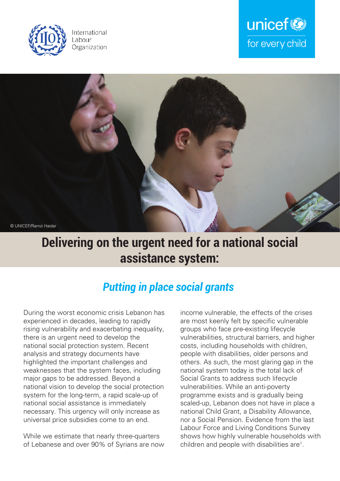





## **Delivering on the urgent need for a national social assistance system:**

### *Putting in place social grants*

During the worst economic crisis Lebanon has experienced in decades, leading to rapidly rising vulnerability and exacerbating inequality, there is an urgent need to develop the national social protection system. Recent analysis and strategy documents have highlighted the important challenges and weaknesses that the system faces, including major gaps to be addressed. Beyond a national vision to develop the social protection system for the long-term, a rapid scale-up of national social assistance is immediately necessary. This urgency will only increase as universal price subsidies come to an end.

While we estimate that nearly three-quarters of Lebanese and over 90% of Syrians are now income vulnerable, the effects of the crises are most keenly felt by specific vulnerable groups who face pre-existing lifecycle vulnerabilities, structural barriers, and higher costs, including households with children, people with disabilities, older persons and others. As such, the most glaring gap in the national system today is the total lack of Social Grants to address such lifecycle vulnerabilities. While an anti-poverty programme exists and is gradually being scaled-up, Lebanon does not have in place a national Child Grant, a Disability Allowance, nor a Social Pension. Evidence from the last Labour Force and Living Conditions Survey shows how highly vulnerable households with children and people with disabilities are<sup>1</sup>.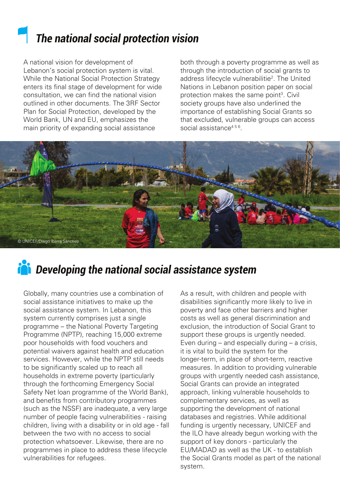## *The national social protection vision*

A national vision for development of Lebanon's social protection system is vital. While the National Social Protection Strategy enters its final stage of development for wide consultation, we can find the national vision outlined in other documents. The 3RF Sector Plan for Social Protection, developed by the World Bank, UN and EU, emphasizes the main priority of expanding social assistance

both through a poverty programme as well as through the introduction of social grants to address lifecycle vulnerabilitie<sup>2</sup>. The United Nations in Lebanon position paper on social protection makes the same point<sup>3</sup>. Civil society groups have also underlined the importance of establishing Social Grants so that excluded, vulnerable groups can access social assistance<sup>456</sup>.



# *Developing the national social assistance system*

Globally, many countries use a combination of social assistance initiatives to make up the social assistance system. In Lebanon, this system currently comprises just a single programme – the National Poverty Targeting Programme (NPTP), reaching 15,000 extreme poor households with food vouchers and potential waivers against health and education services. However, while the NPTP still needs to be significantly scaled up to reach all households in extreme poverty (particularly through the forthcoming Emergency Social Safety Net loan programme of the World Bank), and benefits from contributory programmes (such as the NSSF) are inadequate, a very large number of people facing vulnerabilities - raising children, living with a disability or in old age - fall between the two with no access to social protection whatsoever. Likewise, there are no programmes in place to address these lifecycle vulnerabilities for refugees.

As a result, with children and people with disabilities significantly more likely to live in poverty and face other barriers and higher costs as well as general discrimination and exclusion, the introduction of Social Grant to support these groups is urgently needed. Even during – and especially during – a crisis, it is vital to build the system for the longer-term, in place of short-term, reactive measures. In addition to providing vulnerable groups with urgently needed cash assistance, Social Grants can provide an integrated approach, linking vulnerable households to complementary services, as well as supporting the development of national databases and registries. While additional funding is urgently necessary, UNICEF and the ILO have already begun working with the support of key donors - particularly the EU/MADAD as well as the UK - to establish the Social Grants model as part of the national system.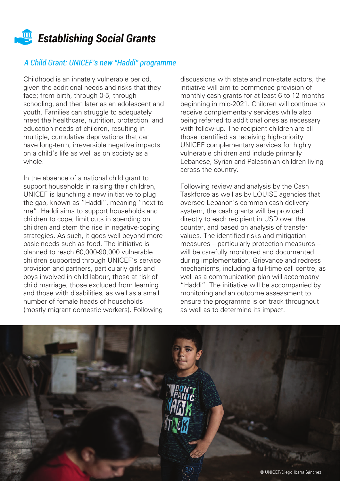

### *A Child Grant: UNICEF's new "Haddi" programme*

Childhood is an innately vulnerable period, given the additional needs and risks that they face; from birth, through 0-5, through schooling, and then later as an adolescent and youth. Families can struggle to adequately meet the healthcare, nutrition, protection, and education needs of children, resulting in multiple, cumulative deprivations that can have long-term, irreversible negative impacts on a child's life as well as on society as a whole.

In the absence of a national child grant to support households in raising their children, UNICEF is launching a new initiative to plug the gap, known as "Haddi", meaning "next to me". Haddi aims to support households and children to cope, limit cuts in spending on children and stem the rise in negative-coping strategies. As such, it goes well beyond more basic needs such as food. The initiative is planned to reach 60,000-90,000 vulnerable children supported through UNICEF's service provision and partners, particularly girls and boys involved in child labour, those at risk of child marriage, those excluded from learning and those with disabilities, as well as a small number of female heads of households (mostly migrant domestic workers). Following

discussions with state and non-state actors, the initiative will aim to commence provision of monthly cash grants for at least 6 to 12 months beginning in mid-2021. Children will continue to receive complementary services while also being referred to additional ones as necessary with follow-up. The recipient children are all those identified as receiving high-priority UNICEF complementary services for highly vulnerable children and include primarily Lebanese, Syrian and Palestinian children living across the country.

Following review and analysis by the Cash Taskforce as well as by LOUISE agencies that oversee Lebanon's common cash delivery system, the cash grants will be provided directly to each recipient in USD over the counter, and based on analysis of transfer values. The identified risks and mitigation measures – particularly protection measures – will be carefully monitored and documented during implementation. Grievance and redress mechanisms, including a full-time call centre, as well as a communication plan will accompany "Haddi". The initiative will be accompanied by monitoring and an outcome assessment to ensure the programme is on track throughout as well as to determine its impact.

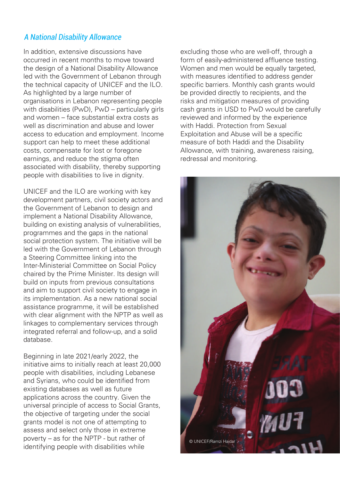### *A National Disability Allowance*

In addition, extensive discussions have occurred in recent months to move toward the design of a National Disability Allowance led with the Government of Lebanon through the technical capacity of UNICEF and the ILO. As highlighted by a large number of organisations in Lebanon representing people with disabilities (PwD), PwD – particularly girls and women – face substantial extra costs as well as discrimination and abuse and lower access to education and employment. Income support can help to meet these additional costs, compensate for lost or foregone earnings, and reduce the stigma often associated with disability, thereby supporting people with disabilities to live in dignity.

UNICEF and the ILO are working with key development partners, civil society actors and the Government of Lebanon to design and implement a National Disability Allowance, building on existing analysis of vulnerabilities, programmes and the gaps in the national social protection system. The initiative will be led with the Government of Lebanon through a Steering Committee linking into the Inter-Ministerial Committee on Social Policy chaired by the Prime Minister. Its design will build on inputs from previous consultations and aim to support civil society to engage in its implementation. As a new national social assistance programme, it will be established with clear alignment with the NPTP as well as linkages to complementary services through integrated referral and follow-up, and a solid database.

Beginning in late 2021/early 2022, the initiative aims to initially reach at least 20,000 people with disabilities, including Lebanese and Syrians, who could be identified from existing databases as well as future applications across the country. Given the universal principle of access to Social Grants, the objective of targeting under the social grants model is not one of attempting to assess and select only those in extreme poverty – as for the NPTP - but rather of identifying people with disabilities while

excluding those who are well-off, through a form of easily-administered affluence testing. Women and men would be equally targeted, with measures identified to address gender specific barriers. Monthly cash grants would be provided directly to recipients, and the risks and mitigation measures of providing cash grants in USD to PwD would be carefully reviewed and informed by the experience with Haddi. Protection from Sexual Exploitation and Abuse will be a specific measure of both Haddi and the Disability Allowance, with training, awareness raising, redressal and monitoring.